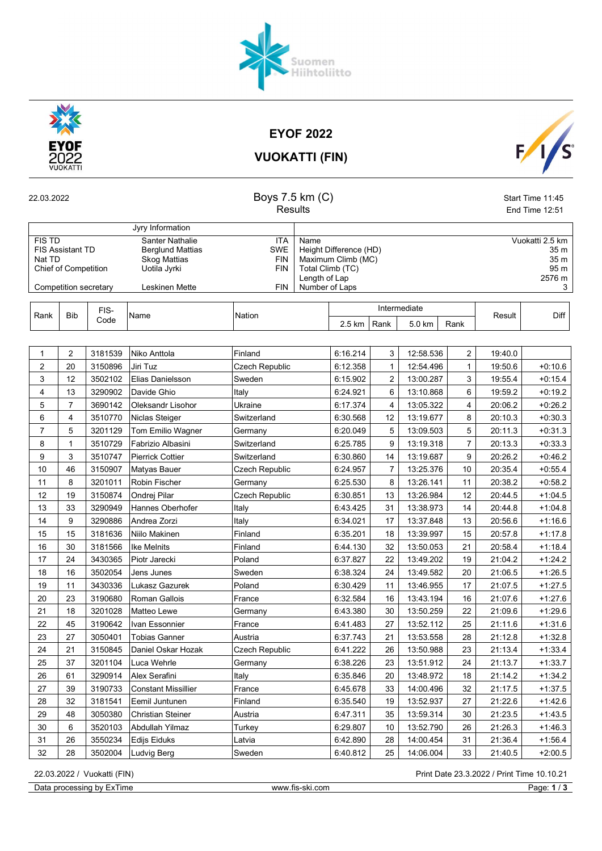

EYOF 2022

Suomen<br>Hiihtoliitto



VUOKATTI (FIN)

| 22.03.2022                                                                                                 |                |              | Boys 7.5 km (C)<br><b>Results</b>                                                                   |                                                             |                                                                                                             |          | Start Time 11:45<br>End Time 12:51 |           |                         |                                                        |           |  |
|------------------------------------------------------------------------------------------------------------|----------------|--------------|-----------------------------------------------------------------------------------------------------|-------------------------------------------------------------|-------------------------------------------------------------------------------------------------------------|----------|------------------------------------|-----------|-------------------------|--------------------------------------------------------|-----------|--|
|                                                                                                            |                |              |                                                                                                     |                                                             |                                                                                                             |          |                                    |           |                         |                                                        |           |  |
|                                                                                                            |                |              | Jyry Information                                                                                    |                                                             |                                                                                                             |          |                                    |           |                         |                                                        |           |  |
| <b>FIS TD</b><br><b>FIS Assistant TD</b><br>Nat TD<br><b>Chief of Competition</b><br>Competition secretary |                |              | Santer Nathalie<br><b>Berglund Mattias</b><br><b>Skog Mattias</b><br>Uotila Jyrki<br>Leskinen Mette | <b>ITA</b><br>SWE<br><b>FIN</b><br><b>FIN</b><br><b>FIN</b> | Name<br>Height Difference (HD)<br>Maximum Climb (MC)<br>Total Climb (TC)<br>Length of Lap<br>Number of Laps |          |                                    |           |                         | Vuokatti 2.5 km<br>35 m<br>35 m<br>95 m<br>2576 m<br>3 |           |  |
|                                                                                                            |                |              |                                                                                                     |                                                             |                                                                                                             |          |                                    |           |                         |                                                        |           |  |
| Rank                                                                                                       | <b>Bib</b>     | FIS-<br>Code | Name                                                                                                | Nation                                                      | Intermediate<br>Rank<br>$2.5 \text{ km}$<br>5.0 km<br>Rank                                                  |          |                                    |           | Result                  | Diff                                                   |           |  |
|                                                                                                            |                |              |                                                                                                     |                                                             |                                                                                                             |          |                                    |           |                         |                                                        |           |  |
| $\mathbf{1}$                                                                                               | $\overline{c}$ | 3181539      | Niko Anttola                                                                                        | Finland                                                     |                                                                                                             | 6:16.214 | 3                                  | 12:58.536 | $\overline{\mathbf{c}}$ | 19:40.0                                                |           |  |
| 2                                                                                                          | 20             | 3150896      | Jiri Tuz                                                                                            | Czech Republic                                              |                                                                                                             | 6:12.358 | $\mathbf{1}$                       | 12:54.496 | 1                       | 19:50.6                                                | $+0.10.6$ |  |
| 3                                                                                                          | 12             | 3502102      | Elias Danielsson                                                                                    | Sweden                                                      |                                                                                                             | 6:15.902 | $\overline{2}$                     | 13:00.287 | 3                       | 19:55.4                                                | $+0.15.4$ |  |
| 4                                                                                                          | 13             | 3290902      | Davide Ghio                                                                                         | Italy                                                       |                                                                                                             | 6:24.921 | 6                                  | 13:10.868 | 6                       | 19:59.2                                                | $+0.19.2$ |  |
| 5                                                                                                          | $\overline{7}$ | 3690142      | Oleksandr Lisohor                                                                                   | Ukraine                                                     |                                                                                                             | 6:17.374 | 4                                  | 13:05.322 | 4                       | 20:06.2                                                | $+0.26.2$ |  |
| 6                                                                                                          | 4              | 3510770      | Niclas Steiger                                                                                      | Switzerland                                                 |                                                                                                             | 6:30.568 | 12                                 | 13:19.677 | 8                       | 20:10.3                                                | $+0.30.3$ |  |
| $\overline{7}$                                                                                             | 5              | 3201129      | Tom Emilio Wagner                                                                                   | Germany                                                     |                                                                                                             | 6:20.049 | 5                                  | 13:09.503 | 5                       | 20:11.3                                                | $+0.31.3$ |  |
| 8                                                                                                          | $\mathbf{1}$   | 3510729      | Fabrizio Albasini                                                                                   | Switzerland                                                 |                                                                                                             | 6:25.785 | 9                                  | 13:19.318 | $\overline{7}$          | 20:13.3                                                | $+0.33.3$ |  |
| 9                                                                                                          | 3              | 3510747      | <b>Pierrick Cottier</b>                                                                             | Switzerland                                                 |                                                                                                             | 6:30.860 | 14                                 | 13:19.687 | 9                       | 20:26.2                                                | $+0.46.2$ |  |
| 10                                                                                                         | 46             | 3150907      | Matyas Bauer                                                                                        | Czech Republic                                              |                                                                                                             | 6:24.957 | 7                                  | 13:25.376 | 10                      | 20:35.4                                                | $+0.55.4$ |  |
| 11                                                                                                         | 8              | 3201011      | Robin Fischer                                                                                       | Germany                                                     |                                                                                                             | 6:25.530 | 8                                  | 13:26.141 | 11                      | 20:38.2                                                | $+0.58.2$ |  |
| 12                                                                                                         | 19             | 3150874      | Ondrej Pilar                                                                                        | Czech Republic                                              |                                                                                                             | 6:30.851 | 13                                 | 13:26.984 | 12                      | 20:44.5                                                | $+1.045$  |  |
| 13                                                                                                         | 33             | 3290949      | Hannes Oberhofer                                                                                    | Italy                                                       |                                                                                                             | 6:43.425 | 31                                 | 13:38.973 | 14                      | 20:44.8                                                | $+1.04.8$ |  |
| 14                                                                                                         | 9              | 3290886      | Andrea Zorzi                                                                                        | Italy                                                       |                                                                                                             | 6:34.021 | 17                                 | 13:37.848 | 13                      | 20:56.6                                                | $+1:16.6$ |  |
| 15                                                                                                         | 15             | 3181636      | Niilo Makinen                                                                                       | Finland                                                     |                                                                                                             | 6:35.201 | 18                                 | 13:39.997 | 15                      | 20:57.8                                                | +1:17.8   |  |
| 16                                                                                                         | 30             | 3181566      | <b>Ike Melnits</b>                                                                                  | Finland                                                     |                                                                                                             | 6:44.130 | 32                                 | 13:50.053 | 21                      | 20:58.4                                                | $+1:18.4$ |  |
| 17                                                                                                         | 24             | 3430365      | Piotr Jarecki                                                                                       | Poland                                                      |                                                                                                             | 6:37.827 | 22                                 | 13:49.202 | 19                      | 21:04.2                                                | $+1:24.2$ |  |
| 18                                                                                                         | 16             | 3502054      | Jens Junes                                                                                          | Sweden                                                      |                                                                                                             | 6:38.324 | 24                                 | 13:49.582 | 20                      | 21:06.5                                                | $+1:26.5$ |  |
| 19                                                                                                         | 11             | 3430336      | Lukasz Gazurek                                                                                      | Poland                                                      |                                                                                                             | 6:30.429 | 11                                 | 13:46.955 | 17                      | 21:07.5                                                | $+1:27.5$ |  |
| 20                                                                                                         | 23             | 3190680      | <b>Roman Gallois</b>                                                                                | France                                                      |                                                                                                             | 6:32.584 | 16                                 | 13:43.194 | 16                      | 21:07.6                                                | $+1.27.6$ |  |
| 21                                                                                                         | 18             | 3201028      | Matteo Lewe                                                                                         | Germany                                                     |                                                                                                             | 6:43.380 | 30                                 | 13:50.259 | 22                      | 21:09.6                                                | $+1:29.6$ |  |
| 22                                                                                                         | 45             | 3190642      | Ivan Essonnier                                                                                      | France                                                      |                                                                                                             | 6:41.483 | 27                                 | 13:52.112 | 25                      | 21:11.6                                                | $+1:31.6$ |  |
| 23                                                                                                         | 27             | 3050401      | Tobias Ganner                                                                                       | Austria                                                     |                                                                                                             | 6:37.743 | 21                                 | 13:53.558 | 28                      | 21:12.8                                                | $+1:32.8$ |  |
| 24                                                                                                         | 21             | 3150845      | Daniel Oskar Hozak                                                                                  | Czech Republic                                              |                                                                                                             | 6:41.222 | 26                                 | 13:50.988 | 23                      | 21:13.4                                                | $+1.33.4$ |  |
| 25                                                                                                         | 37             | 3201104      | Luca Wehrle                                                                                         | Germany                                                     |                                                                                                             | 6:38.226 | 23                                 | 13:51.912 | 24                      | 21:13.7                                                | $+1:33.7$ |  |
| 26                                                                                                         | 61             | 3290914      | Alex Serafini                                                                                       | Italy                                                       |                                                                                                             | 6:35.846 | 20                                 | 13:48.972 | 18                      | 21:14.2                                                | $+1:34.2$ |  |
| 27                                                                                                         | 39             | 3190733      | <b>Constant Missillier</b>                                                                          | France                                                      |                                                                                                             | 6:45.678 | 33                                 | 14:00.496 | 32                      | 21:17.5                                                | $+1:37.5$ |  |
| 28                                                                                                         | 32             | 3181541      | Eemil Juntunen                                                                                      | Finland                                                     |                                                                                                             | 6:35.540 | 19                                 | 13:52.937 | 27                      | 21:22.6                                                | $+1:42.6$ |  |
| 29                                                                                                         | 48             | 3050380      | Christian Steiner                                                                                   | Austria                                                     |                                                                                                             | 6:47.311 | 35                                 | 13:59.314 | 30                      | 21:23.5                                                | $+1.43.5$ |  |
| 30                                                                                                         | 6              | 3520103      | Abdullah Yilmaz                                                                                     | Turkey                                                      |                                                                                                             | 6:29.807 | 10                                 | 13:52.790 | 26                      | 21:26.3                                                | $+1.46.3$ |  |
| 31                                                                                                         | 26             | 3550234      | Edijs Eiduks                                                                                        | Latvia                                                      |                                                                                                             | 6:42.890 | 28                                 | 14:00.454 | 31                      | 21:36.4                                                | $+1:56.4$ |  |
| 32                                                                                                         | 28             | 3502004      | Ludvig Berg                                                                                         | Sweden                                                      |                                                                                                             | 6:40.812 | 25                                 | 14:06.004 | 33                      | 21:40.5                                                | $+2:00.5$ |  |

22.03.2022 / Vuokatti (FIN) Print Date 23.3.2022 / Print Time 10.10.21

Data processing by ExTime www.fis-ski.com Page: 1/3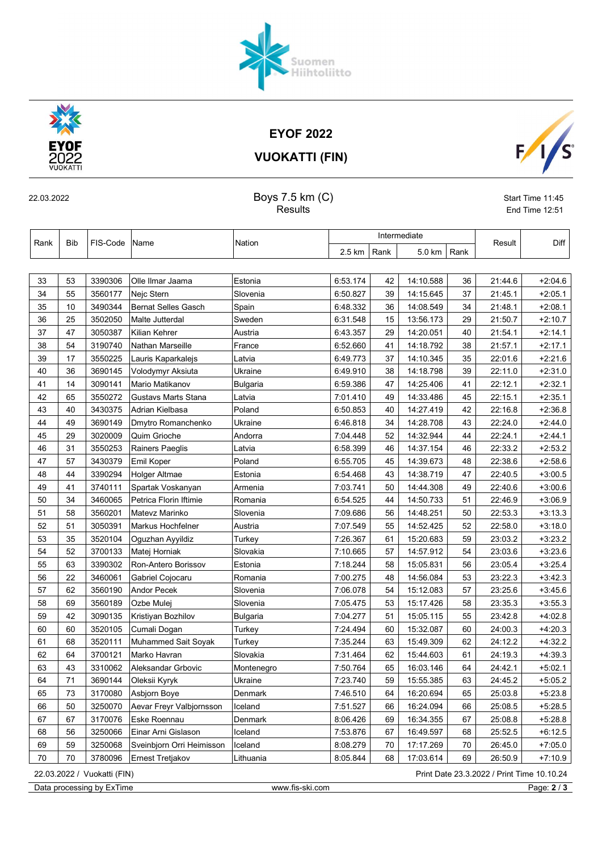## EYOF 2022

šuomen<br>Hiihtoliitto

VUOKATTI (FIN)



 $F/\sqrt{s}$ 

22.03.2022 Start Time 11:45

Results **End Time 12:51** 

|      |                                                                           | FIS-Code | Name                      | Nation     |          | Intermediate |           |      |         |           |
|------|---------------------------------------------------------------------------|----------|---------------------------|------------|----------|--------------|-----------|------|---------|-----------|
| Rank | Bib                                                                       |          |                           |            | 2.5 km   | Rank         | 5.0 km    | Rank | Result  | Diff      |
|      |                                                                           |          |                           |            |          |              |           |      |         |           |
| 33   | 53                                                                        | 3390306  | Olle Ilmar Jaama          | Estonia    | 6:53.174 | 42           | 14:10.588 | 36   | 21:44.6 | $+2.04.6$ |
| 34   | 55                                                                        | 3560177  | Nejc Stern                | Slovenia   | 6:50.827 | 39           | 14:15.645 | 37   | 21:45.1 | $+2.05.1$ |
| 35   | 10                                                                        | 3490344  | Bernat Selles Gasch       | Spain      | 6:48.332 | 36           | 14:08.549 | 34   | 21:48.1 | $+2.08.1$ |
| 36   | 25                                                                        | 3502050  | Malte Jutterdal           | Sweden     | 6:31.548 | 15           | 13:56.173 | 29   | 21:50.7 | $+2.10.7$ |
| 37   | 47                                                                        | 3050387  | Kilian Kehrer             | Austria    | 6:43.357 | 29           | 14:20.051 | 40   | 21:54.1 | $+2:14.1$ |
| 38   | 54                                                                        | 3190740  | Nathan Marseille          | France     | 6:52.660 | 41           | 14:18.792 | 38   | 21:57.1 | $+2.17.1$ |
| 39   | 17                                                                        | 3550225  | Lauris Kaparkalejs        | Latvia     | 6:49.773 | 37           | 14:10.345 | 35   | 22:01.6 | $+2:21.6$ |
| 40   | 36                                                                        | 3690145  | Volodymyr Aksiuta         | Ukraine    | 6:49.910 | 38           | 14:18.798 | 39   | 22:11.0 | $+2:31.0$ |
| 41   | 14                                                                        | 3090141  | Mario Matikanov           | Bulgaria   | 6:59.386 | 47           | 14:25.406 | 41   | 22:12.1 | $+2:32.1$ |
| 42   | 65                                                                        | 3550272  | Gustavs Marts Stana       | Latvia     | 7:01.410 | 49           | 14:33.486 | 45   | 22:15.1 | $+2:35.1$ |
| 43   | 40                                                                        | 3430375  | Adrian Kielbasa           | Poland     | 6:50.853 | 40           | 14:27.419 | 42   | 22:16.8 | $+2:36.8$ |
| 44   | 49                                                                        | 3690149  | Dmytro Romanchenko        | Ukraine    | 6:46.818 | 34           | 14:28.708 | 43   | 22:24.0 | $+2.44.0$ |
| 45   | 29                                                                        | 3020009  | Quim Grioche              | Andorra    | 7:04.448 | 52           | 14:32.944 | 44   | 22:24.1 | $+2.44.1$ |
| 46   | 31                                                                        | 3550253  | Rainers Paeglis           | Latvia     | 6:58.399 | 46           | 14:37.154 | 46   | 22:33.2 | $+2:53.2$ |
| 47   | 57                                                                        | 3430379  | Emil Koper                | Poland     | 6:55.705 | 45           | 14:39.673 | 48   | 22:38.6 | $+2.58.6$ |
| 48   | 44                                                                        | 3390294  | Holger Altmae             | Estonia    | 6:54.468 | 43           | 14:38.719 | 47   | 22:40.5 | $+3:00.5$ |
| 49   | 41                                                                        | 3740111  | Spartak Voskanyan         | Armenia    | 7:03.741 | 50           | 14:44.308 | 49   | 22:40.6 | $+3.00.6$ |
| 50   | 34                                                                        | 3460065  | Petrica Florin Iftimie    | Romania    | 6:54.525 | 44           | 14:50.733 | 51   | 22:46.9 | $+3.06.9$ |
| 51   | 58                                                                        | 3560201  | Matevz Marinko            | Slovenia   | 7:09.686 | 56           | 14:48.251 | 50   | 22:53.3 | $+3:13.3$ |
| 52   | 51                                                                        | 3050391  | Markus Hochfelner         | Austria    | 7:07.549 | 55           | 14:52.425 | 52   | 22:58.0 | $+3:18.0$ |
| 53   | 35                                                                        | 3520104  | Oguzhan Ayyildiz          | Turkey     | 7:26.367 | 61           | 15:20.683 | 59   | 23:03.2 | $+3:23.2$ |
| 54   | 52                                                                        | 3700133  | Matej Horniak             | Slovakia   | 7:10.665 | 57           | 14:57.912 | 54   | 23:03.6 | $+3:23.6$ |
| 55   | 63                                                                        | 3390302  | Ron-Antero Borissov       | Estonia    | 7:18.244 | 58           | 15:05.831 | 56   | 23:05.4 | $+3:25.4$ |
| 56   | 22                                                                        | 3460061  | Gabriel Cojocaru          | Romania    | 7:00.275 | 48           | 14:56.084 | 53   | 23:22.3 | $+3:42.3$ |
| 57   | 62                                                                        | 3560190  | Andor Pecek               | Slovenia   | 7:06.078 | 54           | 15:12.083 | 57   | 23:25.6 | $+3.45.6$ |
| 58   | 69                                                                        | 3560189  | Ozbe Mulej                | Slovenia   | 7:05.475 | 53           | 15:17.426 | 58   | 23:35.3 | $+3:55.3$ |
| 59   | 42                                                                        | 3090135  | Kristiyan Bozhilov        | Bulgaria   | 7:04.277 | 51           | 15:05.115 | 55   | 23:42.8 | $+4.02.8$ |
| 60   | 60                                                                        | 3520105  | Cumali Dogan              | Turkey     | 7:24.494 | 60           | 15:32.087 | 60   | 24:00.3 | $+4:20.3$ |
| 61   | 68                                                                        | 3520111  | Muhammed Sait Soyak       | Turkey     | 7:35.244 | 63           | 15:49.309 | 62   | 24:12.2 | $+4:32.2$ |
| 62   | 64                                                                        | 3700121  | Marko Havran              | Slovakia   | 7:31.464 | 62           | 15:44.603 | 61   | 24:19.3 | $+4.39.3$ |
| 63   | 43                                                                        | 3310062  | Aleksandar Grbovic        | Montenegro | 7:50.764 | 65           | 16:03.146 | 64   | 24:42.1 | $+5:02.1$ |
| 64   | $71$                                                                      |          | 3690144 Oleksii Kyryk     | Ukraine    | 7:23.740 | 59           | 15:55.385 | 63   | 24:45.2 | $+5:05.2$ |
| 65   | 73                                                                        | 3170080  | Asbjorn Boye              | Denmark    | 7:46.510 | 64           | 16:20.694 | 65   | 25:03.8 | $+5:23.8$ |
| 66   | 50                                                                        | 3250070  | Aevar Freyr Valbjornsson  | Iceland    | 7:51.527 | 66           | 16:24.094 | 66   | 25:08.5 | $+5:28.5$ |
| 67   | 67                                                                        | 3170076  | Eske Roennau              | Denmark    | 8:06.426 | 69           | 16:34.355 | 67   | 25:08.8 | $+5:28.8$ |
| 68   | 56                                                                        | 3250066  | Einar Arni Gislason       | Iceland    | 7:53.876 | 67           | 16:49.597 | 68   | 25:52.5 | $+6:12.5$ |
| 69   | 59                                                                        | 3250068  | Sveinbjorn Orri Heimisson | Iceland    | 8:08.279 | 70           | 17:17.269 | 70   | 26:45.0 | $+7:05.0$ |
| 70   | 70                                                                        | 3780096  | Ernest Tretjakov          | Lithuania  | 8:05.844 | 68           | 17:03.614 | 69   | 26:50.9 | $+7:10.9$ |
|      | 22.03.2022 / Vuokatti (FIN)<br>Print Date 23.3.2022 / Print Time 10.10.24 |          |                           |            |          |              |           |      |         |           |

Data processing by ExTime **Extime** www.fis-ski.com **Page: 2/3**